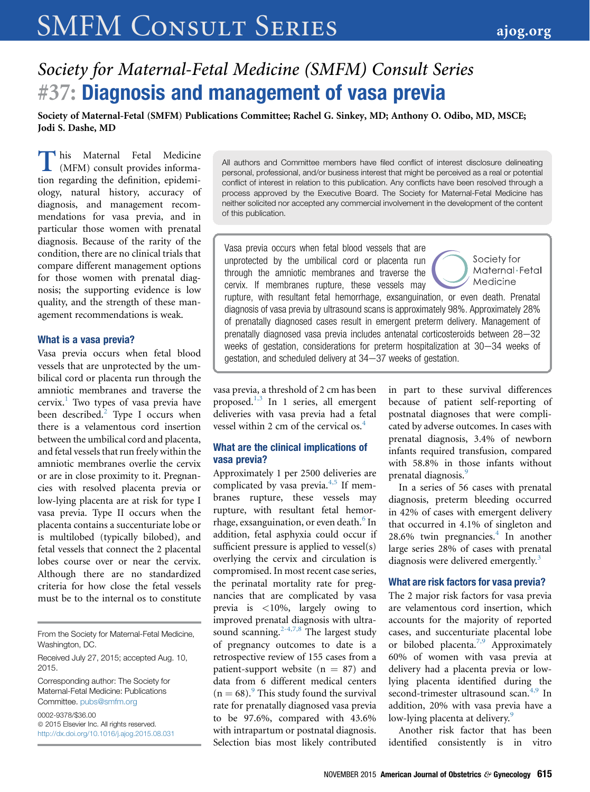# SMFM CONSULT SERIES [ajog.org](http://www.AJOG.org)

# Society for Maternal-Fetal Medicine (SMFM) Consult Series #37: Diagnosis and management of vasa previa

Society of Maternal-Fetal (SMFM) Publications Committee; Rachel G. Sinkey, MD; Anthony O. Odibo, MD, MSCE; Jodi S. Dashe, MD

This Maternal Fetal Medicine<br>
(MFM) consult provides informa-<br>
tion regarding the definition, epidemi-<br>
ology, natural history, accuracy of (MFM) consult provides information regarding the definition, epidemiology, natural history, accuracy of diagnosis, and management recommendations for vasa previa, and in particular those women with prenatal diagnosis. Because of the rarity of the condition, there are no clinical trials that compare different management options for those women with prenatal diagnosis; the supporting evidence is low quality, and the strength of these management recommendations is weak.

#### What is a vasa previa?

Vasa previa occurs when fetal blood vessels that are unprotected by the umbilical cord or placenta run through the amniotic membranes and traverse the cervix.<sup>[1](#page-3-0)</sup> Two types of vasa previa have been described.<sup>[2](#page-3-0)</sup> Type I occurs when there is a velamentous cord insertion between the umbilical cord and placenta, and fetal vessels that run freely within the amniotic membranes overlie the cervix or are in close proximity to it. Pregnancies with resolved placenta previa or low-lying placenta are at risk for type I vasa previa. Type II occurs when the placenta contains a succenturiate lobe or is multilobed (typically bilobed), and fetal vessels that connect the 2 placental lobes course over or near the cervix. Although there are no standardized criteria for how close the fetal vessels must be to the internal os to constitute

From the Society for Maternal-Fetal Medicine, Washington, DC.

Corresponding author: The Society for Maternal-Fetal Medicine: Publications Committee. [pubs@smfm.org](mailto:pubs@smfm.org)

0002-9378/\$36.00  $© 2015 Elsevier Inc. All rights reserved.$ <http://dx.doi.org/10.1016/j.ajog.2015.08.031> All authors and Committee members have filed conflict of interest disclosure delineating personal, professional, and/or business interest that might be perceived as a real or potential conflict of interest in relation to this publication. Any conflicts have been resolved through a process approved by the Executive Board. The Society for Maternal-Fetal Medicine has neither solicited nor accepted any commercial involvement in the development of the content of this publication.

Vasa previa occurs when fetal blood vessels that are Society for unprotected by the umbilical cord or placenta run Maternal Fetal through the amniotic membranes and traverse the Medicine cervix. If membranes rupture, these vessels may rupture, with resultant fetal hemorrhage, exsanguination, or even death. Prenatal diagnosis of vasa previa by ultrasound scans is approximately 98%. Approximately 28% of prenatally diagnosed cases result in emergent preterm delivery. Management of prenatally diagnosed vasa previa includes antenatal corticosteroids between  $28-32$ weeks of gestation, considerations for preterm hospitalization at  $30-34$  weeks of gestation, and scheduled delivery at 34-37 weeks of gestation.

vasa previa, a threshold of 2 cm has been proposed. $^{1,3}$  $^{1,3}$  $^{1,3}$  In 1 series, all emergent deliveries with vasa previa had a fetal vessel within 2 cm of the cervical os.<sup>[4](#page-3-0)</sup>

#### What are the clinical implications of vasa previa?

Approximately 1 per 2500 deliveries are complicated by vasa previa. $4,5$  If membranes rupture, these vessels may rupture, with resultant fetal hemor-rhage, exsanguination, or even death.<sup>[6](#page-3-0)</sup> In addition, fetal asphyxia could occur if sufficient pressure is applied to vessel(s) overlying the cervix and circulation is compromised. In most recent case series, the perinatal mortality rate for pregnancies that are complicated by vasa previa is <10%, largely owing to improved prenatal diagnosis with ultra-sound scanning.<sup>[2-4,7,8](#page-3-0)</sup> The largest study of pregnancy outcomes to date is a retrospective review of 155 cases from a patient-support website  $(n = 87)$  and data from 6 different medical centers  $(n = 68)$ .<sup>[9](#page-3-0)</sup> This study found the survival rate for prenatally diagnosed vasa previa to be 97.6%, compared with 43.6% with intrapartum or postnatal diagnosis. Selection bias most likely contributed in part to these survival differences because of patient self-reporting of postnatal diagnoses that were complicated by adverse outcomes. In cases with prenatal diagnosis, 3.4% of newborn infants required transfusion, compared with 58.8% in those infants without prenatal diagnosis.<sup>[9](#page-3-0)</sup>

In a series of 56 cases with prenatal diagnosis, preterm bleeding occurred in 42% of cases with emergent delivery that occurred in 4.1% of singleton and  $28.6\%$  twin pregnancies.<sup>[4](#page-3-0)</sup> In another large series 28% of cases with prenatal diagnosis were delivered emergently.<sup>[3](#page-3-0)</sup>

#### What are risk factors for vasa previa?

The 2 major risk factors for vasa previa are velamentous cord insertion, which accounts for the majority of reported cases, and succenturiate placental lobe or bilobed placenta[.7,9](#page-3-0) Approximately 60% of women with vasa previa at delivery had a placenta previa or lowlying placenta identified during the second-trimester ultrasound scan.<sup>[4,9](#page-3-0)</sup> In addition, 20% with vasa previa have a low-lying placenta at delivery.<sup>[9](#page-3-0)</sup>

Another risk factor that has been identified consistently is in vitro

Received July 27, 2015; accepted Aug. 10, 2015.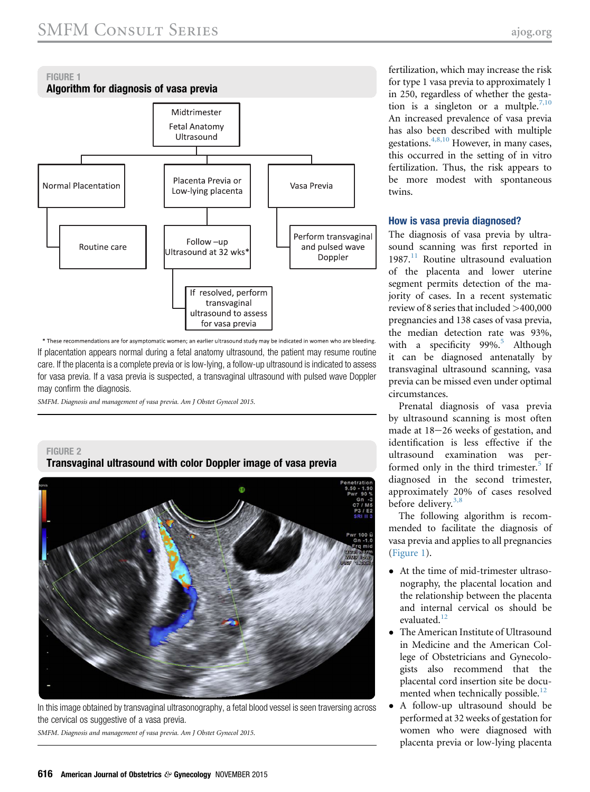<span id="page-1-0"></span>

\* These recommendations are for asymptomatic women; an earlier ultrasound study may be indicated in women who are bleeding. If placentation appears normal during a fetal anatomy ultrasound, the patient may resume routine care. If the placenta is a complete previa or is low-lying, a follow-up ultrasound is indicated to assess for vasa previa. If a vasa previa is suspected, a transvaginal ultrasound with pulsed wave Doppler may confirm the diagnosis.

SMFM. Diagnosis and management of vasa previa. Am J Obstet Gynecol 2015.

#### FIGURE 2 Transvaginal ultrasound with color Doppler image of vasa previa



In this image obtained by transvaginal ultrasonography, a fetal blood vessel is seen traversing across the cervical os suggestive of a vasa previa.

SMFM. Diagnosis and management of vasa previa. Am J Obstet Gynecol 2015.

fertilization, which may increase the risk for type 1 vasa previa to approximately 1 in 250, regardless of whether the gesta-tion is a singleton or a multple.<sup>[7,10](#page-3-0)</sup> An increased prevalence of vasa previa has also been described with multiple gestations.<sup>[4,8,10](#page-3-0)</sup> However, in many cases, this occurred in the setting of in vitro fertilization. Thus, the risk appears to be more modest with spontaneous twins.

#### How is vasa previa diagnosed?

The diagnosis of vasa previa by ultrasound scanning was first reported in  $1987<sup>11</sup>$  $1987<sup>11</sup>$  $1987<sup>11</sup>$  Routine ultrasound evaluation of the placenta and lower uterine segment permits detection of the majority of cases. In a recent systematic review of 8 series that included >400,000 pregnancies and 138 cases of vasa previa, the median detection rate was 93%, with a specificity  $99\%$ <sup>[5](#page-3-0)</sup> Although it can be diagnosed antenatally by transvaginal ultrasound scanning, vasa previa can be missed even under optimal circumstances.

Prenatal diagnosis of vasa previa by ultrasound scanning is most often made at  $18-26$  weeks of gestation, and identification is less effective if the ultrasound examination was per-formed only in the third trimester.<sup>[5](#page-3-0)</sup> If diagnosed in the second trimester, approximately 20% of cases resolved before delivery.<sup>[3,8](#page-3-0)</sup>

The following algorithm is recommended to facilitate the diagnosis of vasa previa and applies to all pregnancies (Figure 1).

- At the time of mid-trimester ultrasonography, the placental location and the relationship between the placenta and internal cervical os should be  $e$ valuated $12$
- $\bullet$  The American Institute of Ultrasound in Medicine and the American College of Obstetricians and Gynecologists also recommend that the placental cord insertion site be docu-mented when technically possible.<sup>[12](#page-3-0)</sup>
- $\bullet$  A follow-up ultrasound should be performed at 32 weeks of gestation for women who were diagnosed with placenta previa or low-lying placenta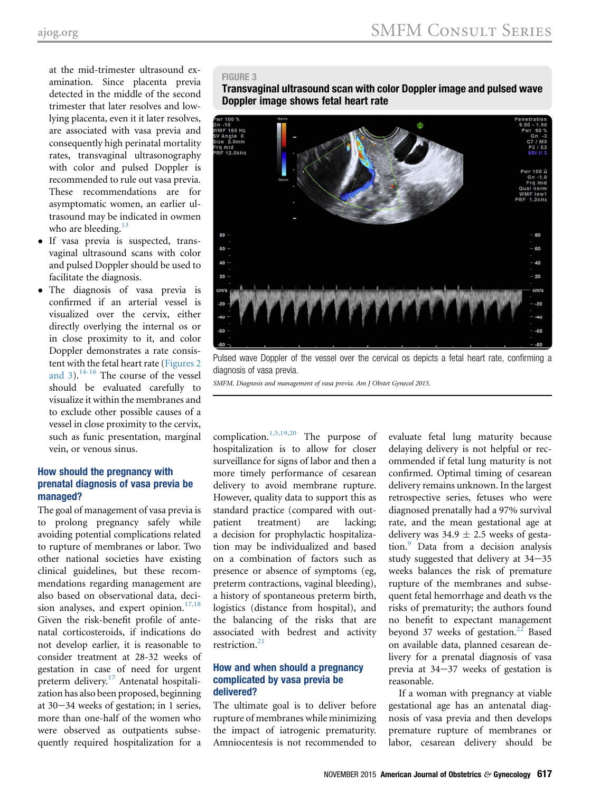at the mid-trimester ultrasound examination. Since placenta previa detected in the middle of the second trimester that later resolves and lowlying placenta, even it it later resolves, are associated with vasa previa and consequently high perinatal mortality rates, transvaginal ultrasonography with color and pulsed Doppler is recommended to rule out vasa previa. These recommendations are for asymptomatic women, an earlier ultrasound may be indicated in owmen who are bleeding. $13$ 

- If vasa previa is suspected, transvaginal ultrasound scans with color and pulsed Doppler should be used to facilitate the diagnosis.
- The diagnosis of vasa previa is confirmed if an arterial vessel is visualized over the cervix, either directly overlying the internal os or in close proximity to it, and color Doppler demonstrates a rate consistent with the fetal heart rate ([Figures 2](#page-1-0) and  $3$ ).<sup>[14-16](#page-3-0)</sup> The course of the vessel should be evaluated carefully to visualize it within the membranes and to exclude other possible causes of a vessel in close proximity to the cervix, such as funic presentation, marginal vein, or venous sinus.

## How should the pregnancy with prenatal diagnosis of vasa previa be managed?

The goal of management of vasa previa is to prolong pregnancy safely while avoiding potential complications related to rupture of membranes or labor. Two other national societies have existing clinical guidelines, but these recommendations regarding management are also based on observational data, decision analyses, and expert opinion. $17,18$ Given the risk-benefit profile of antenatal corticosteroids, if indications do not develop earlier, it is reasonable to consider treatment at 28-32 weeks of gestation in case of need for urgent preterm delivery.<sup>[17](#page-3-0)</sup> Antenatal hospitalization has also been proposed, beginning at  $30-34$  weeks of gestation; in 1 series, more than one-half of the women who were observed as outpatients subsequently required hospitalization for a

### FIGURE 3

Transvaginal ultrasound scan with color Doppler image and pulsed wave Doppler image shows fetal heart rate

![](_page_2_Picture_9.jpeg)

Pulsed wave Doppler of the vessel over the cervical os depicts a fetal heart rate, confirming a diagnosis of vasa previa.

SMFM. Diagnosis and management of vasa previa. Am J Obstet Gynecol 2015.

complication. $1,5,19,20$  The purpose of hospitalization is to allow for closer surveillance for signs of labor and then a more timely performance of cesarean delivery to avoid membrane rupture. However, quality data to support this as standard practice (compared with outpatient treatment) are lacking; a decision for prophylactic hospitalization may be individualized and based on a combination of factors such as presence or absence of symptoms (eg, preterm contractions, vaginal bleeding), a history of spontaneous preterm birth, logistics (distance from hospital), and the balancing of the risks that are associated with bedrest and activity restriction[.21](#page-4-0)

#### How and when should a pregnancy complicated by vasa previa be delivered?

The ultimate goal is to deliver before rupture of membranes while minimizing the impact of iatrogenic prematurity. Amniocentesis is not recommended to

evaluate fetal lung maturity because delaying delivery is not helpful or recommended if fetal lung maturity is not confirmed. Optimal timing of cesarean delivery remains unknown. In the largest retrospective series, fetuses who were diagnosed prenatally had a 97% survival rate, and the mean gestational age at delivery was  $34.9 \pm 2.5$  weeks of gestation.[9](#page-3-0) Data from a decision analysis study suggested that delivery at  $34-35$ weeks balances the risk of premature rupture of the membranes and subsequent fetal hemorrhage and death vs the risks of prematurity; the authors found no benefit to expectant management beyond 37 weeks of gestation. $22$  Based on available data, planned cesarean delivery for a prenatal diagnosis of vasa previa at  $34-37$  weeks of gestation is reasonable.

If a woman with pregnancy at viable gestational age has an antenatal diagnosis of vasa previa and then develops premature rupture of membranes or labor, cesarean delivery should be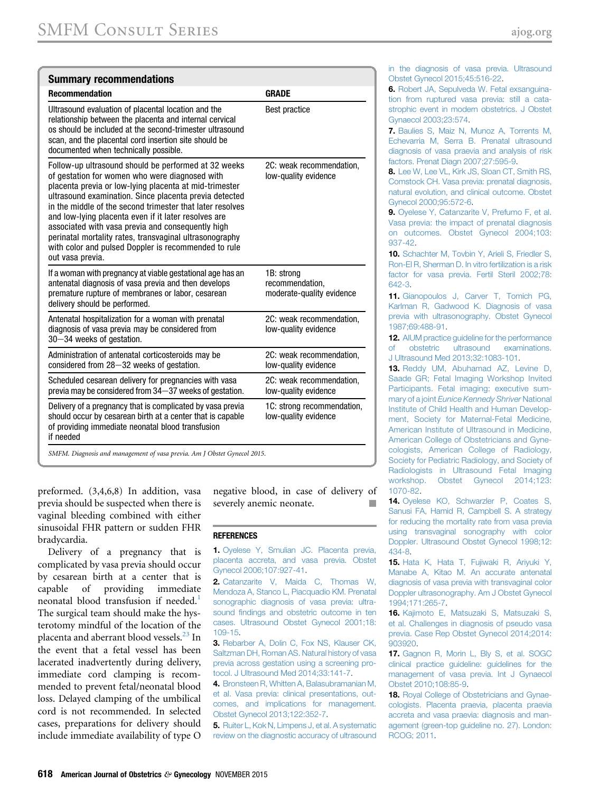<span id="page-3-0"></span>

| <b>Summary recommendations</b>                                                                                                                                                                                                                                                                                                                                                                                                                                                                                                              |                                                            |
|---------------------------------------------------------------------------------------------------------------------------------------------------------------------------------------------------------------------------------------------------------------------------------------------------------------------------------------------------------------------------------------------------------------------------------------------------------------------------------------------------------------------------------------------|------------------------------------------------------------|
| <b>Recommendation</b>                                                                                                                                                                                                                                                                                                                                                                                                                                                                                                                       | <b>GRADE</b>                                               |
| Ultrasound evaluation of placental location and the<br>relationship between the placenta and internal cervical<br>os should be included at the second-trimester ultrasound<br>scan, and the placental cord insertion site should be<br>documented when technically possible.                                                                                                                                                                                                                                                                | <b>Best practice</b>                                       |
| Follow-up ultrasound should be performed at 32 weeks<br>of gestation for women who were diagnosed with<br>placenta previa or low-lying placenta at mid-trimester<br>ultrasound examination. Since placenta previa detected<br>in the middle of the second trimester that later resolves<br>and low-lying placenta even if it later resolves are<br>associated with vasa previa and consequently high<br>perinatal mortality rates, transvaginal ultrasonography<br>with color and pulsed Doppler is recommended to rule<br>out vasa previa. | 2C: weak recommendation,<br>low-quality evidence           |
| If a woman with pregnancy at viable gestational age has an<br>antenatal diagnosis of vasa previa and then develops<br>premature rupture of membranes or labor, cesarean<br>delivery should be performed.                                                                                                                                                                                                                                                                                                                                    | 1B: strong<br>recommendation,<br>moderate-quality evidence |
| Antenatal hospitalization for a woman with prenatal<br>diagnosis of vasa previa may be considered from<br>30-34 weeks of gestation.                                                                                                                                                                                                                                                                                                                                                                                                         | 2C: weak recommendation,<br>low-quality evidence           |
| Administration of antenatal corticosteroids may be<br>considered from 28-32 weeks of gestation.                                                                                                                                                                                                                                                                                                                                                                                                                                             | 2C: weak recommendation,<br>low-quality evidence           |
| Scheduled cesarean delivery for pregnancies with vasa<br>previa may be considered from 34-37 weeks of gestation.                                                                                                                                                                                                                                                                                                                                                                                                                            | 2C: weak recommendation,<br>low-quality evidence           |
| Delivery of a pregnancy that is complicated by vasa previa<br>should occur by cesarean birth at a center that is capable<br>of providing immediate neonatal blood transfusion<br>if needed                                                                                                                                                                                                                                                                                                                                                  | 1C: strong recommendation,<br>low-quality evidence         |
| SMFM. Diagnosis and management of vasa previa. Am I Obstet Gynecol 2015.                                                                                                                                                                                                                                                                                                                                                                                                                                                                    |                                                            |

preformed. (3,4,6,8) In addition, vasa previa should be suspected when there is vaginal bleeding combined with either sinusoidal FHR pattern or sudden FHR bradycardia.

Delivery of a pregnancy that is complicated by vasa previa should occur by cesarean birth at a center that is capable of providing immediate neonatal blood transfusion if needed.<sup>1</sup> The surgical team should make the hysterotomy mindful of the location of the placenta and aberrant blood vessels.<sup>23</sup> In the event that a fetal vessel has been lacerated inadvertently during delivery, immediate cord clamping is recommended to prevent fetal/neonatal blood loss. Delayed clamping of the umbilical cord is not recommended. In selected cases, preparations for delivery should include immediate availability of type O

negative blood, in case of delivery of severely anemic neonate.

#### REFERENCES

1. [Oyelese Y, Smulian JC. Placenta previa,](http://refhub.elsevier.com/S0002-9378(15)00897-2/sref1) [placenta accreta, and vasa previa. Obstet](http://refhub.elsevier.com/S0002-9378(15)00897-2/sref1) [Gynecol 2006;107:927-41.](http://refhub.elsevier.com/S0002-9378(15)00897-2/sref1)

2. [Catanzarite V, Maida C, Thomas W,](http://refhub.elsevier.com/S0002-9378(15)00897-2/sref2) [Mendoza A, Stanco L, Piacquadio KM. Prenatal](http://refhub.elsevier.com/S0002-9378(15)00897-2/sref2) [sonographic diagnosis of vasa previa: ultra](http://refhub.elsevier.com/S0002-9378(15)00897-2/sref2)sound fi[ndings and obstetric outcome in ten](http://refhub.elsevier.com/S0002-9378(15)00897-2/sref2) [cases. Ultrasound Obstet Gynecol 2001;18:](http://refhub.elsevier.com/S0002-9378(15)00897-2/sref2) [109-15](http://refhub.elsevier.com/S0002-9378(15)00897-2/sref2).

3. [Rebarber A, Dolin C, Fox NS, Klauser CK,](http://refhub.elsevier.com/S0002-9378(15)00897-2/sref3) [Saltzman DH, Roman AS. Natural history of vasa](http://refhub.elsevier.com/S0002-9378(15)00897-2/sref3) [previa across gestation using a screening pro](http://refhub.elsevier.com/S0002-9378(15)00897-2/sref3)[tocol. J Ultrasound Med 2014;33:141-7.](http://refhub.elsevier.com/S0002-9378(15)00897-2/sref3)

4. [Bronsteen R, Whitten A, Balasubramanian M,](http://refhub.elsevier.com/S0002-9378(15)00897-2/sref4) [et al. Vasa previa: clinical presentations, out](http://refhub.elsevier.com/S0002-9378(15)00897-2/sref4)[comes, and implications for management.](http://refhub.elsevier.com/S0002-9378(15)00897-2/sref4) [Obstet Gynecol 2013;122:352-7.](http://refhub.elsevier.com/S0002-9378(15)00897-2/sref4)

5. [Ruiter L, Kok N, Limpens J, et al. A systematic](http://refhub.elsevier.com/S0002-9378(15)00897-2/sref5) [review on the diagnostic accuracy of ultrasound](http://refhub.elsevier.com/S0002-9378(15)00897-2/sref5)

[in the diagnosis of vasa previa. Ultrasound](http://refhub.elsevier.com/S0002-9378(15)00897-2/sref5) [Obstet Gynecol 2015;45:516-22.](http://refhub.elsevier.com/S0002-9378(15)00897-2/sref5)

6. [Robert JA, Sepulveda W. Fetal exsanguina](http://refhub.elsevier.com/S0002-9378(15)00897-2/sref6)[tion from ruptured vasa previa: still a cata](http://refhub.elsevier.com/S0002-9378(15)00897-2/sref6)[strophic event in modern obstetrics. J Obstet](http://refhub.elsevier.com/S0002-9378(15)00897-2/sref6) [Gynaecol 2003;23:574](http://refhub.elsevier.com/S0002-9378(15)00897-2/sref6).

7. [Baulies S, Maiz N, Munoz A, Torrents M,](http://refhub.elsevier.com/S0002-9378(15)00897-2/sref7) [Echevarria M, Serra B. Prenatal ultrasound](http://refhub.elsevier.com/S0002-9378(15)00897-2/sref7) [diagnosis of vasa praevia and analysis of risk](http://refhub.elsevier.com/S0002-9378(15)00897-2/sref7) [factors. Prenat Diagn 2007;27:595-9.](http://refhub.elsevier.com/S0002-9378(15)00897-2/sref7)

8. [Lee W, Lee VL, Kirk JS, Sloan CT, Smith RS,](http://refhub.elsevier.com/S0002-9378(15)00897-2/sref8) [Comstock CH. Vasa previa: prenatal diagnosis,](http://refhub.elsevier.com/S0002-9378(15)00897-2/sref8) [natural evolution, and clinical outcome. Obstet](http://refhub.elsevier.com/S0002-9378(15)00897-2/sref8) [Gynecol 2000;95:572-6](http://refhub.elsevier.com/S0002-9378(15)00897-2/sref8).

9. [Oyelese Y, Catanzarite V, Prefumo F, et al.](http://refhub.elsevier.com/S0002-9378(15)00897-2/sref9) [Vasa previa: the impact of prenatal diagnosis](http://refhub.elsevier.com/S0002-9378(15)00897-2/sref9) [on outcomes. Obstet Gynecol 2004;103:](http://refhub.elsevier.com/S0002-9378(15)00897-2/sref9) [937-42](http://refhub.elsevier.com/S0002-9378(15)00897-2/sref9).

10. Schachter M, Toybin Y, Arieli S, Friedler S, [Ron-El R, Sherman D. In vitro fertilization is a risk](http://refhub.elsevier.com/S0002-9378(15)00897-2/sref10) [factor for vasa previa. Fertil Steril 2002;78:](http://refhub.elsevier.com/S0002-9378(15)00897-2/sref10) [642-3](http://refhub.elsevier.com/S0002-9378(15)00897-2/sref10).

11. [Gianopoulos J, Carver T, Tomich PG,](http://refhub.elsevier.com/S0002-9378(15)00897-2/sref11) [Karlman R, Gadwood K. Diagnosis of vasa](http://refhub.elsevier.com/S0002-9378(15)00897-2/sref11) [previa with ultrasonography. Obstet Gynecol](http://refhub.elsevier.com/S0002-9378(15)00897-2/sref11) [1987;69:488-91](http://refhub.elsevier.com/S0002-9378(15)00897-2/sref11).

12. [AIUM practice guideline for the performance](http://refhub.elsevier.com/S0002-9378(15)00897-2/sref12) [of obstetric ultrasound examinations.](http://refhub.elsevier.com/S0002-9378(15)00897-2/sref12) [J Ultrasound Med 2013;32:1083-101](http://refhub.elsevier.com/S0002-9378(15)00897-2/sref12).

13. [Reddy UM, Abuhamad AZ, Levine D,](http://refhub.elsevier.com/S0002-9378(15)00897-2/sref13) [Saade GR; Fetal Imaging Workshop Invited](http://refhub.elsevier.com/S0002-9378(15)00897-2/sref13) [Participants. Fetal imaging: executive sum](http://refhub.elsevier.com/S0002-9378(15)00897-2/sref13)mary of a joint [Eunice Kennedy Shriver](http://refhub.elsevier.com/S0002-9378(15)00897-2/sref13) National [Institute of Child Health and Human Develop](http://refhub.elsevier.com/S0002-9378(15)00897-2/sref13)[ment, Society for Maternal-Fetal Medicine,](http://refhub.elsevier.com/S0002-9378(15)00897-2/sref13) [American Institute of Ultrasound in Medicine,](http://refhub.elsevier.com/S0002-9378(15)00897-2/sref13) [American College of Obstetricians and Gyne](http://refhub.elsevier.com/S0002-9378(15)00897-2/sref13)[cologists, American College of Radiology,](http://refhub.elsevier.com/S0002-9378(15)00897-2/sref13) [Society for Pediatric Radiology, and Society of](http://refhub.elsevier.com/S0002-9378(15)00897-2/sref13) [Radiologists in Ultrasound Fetal Imaging](http://refhub.elsevier.com/S0002-9378(15)00897-2/sref13) [workshop. Obstet Gynecol 2014;123:](http://refhub.elsevier.com/S0002-9378(15)00897-2/sref13) [1070-82.](http://refhub.elsevier.com/S0002-9378(15)00897-2/sref13)

14. [Oyelese KO, Schwarzler P, Coates S,](http://refhub.elsevier.com/S0002-9378(15)00897-2/sref14) [Sanusi FA, Hamid R, Campbell S. A strategy](http://refhub.elsevier.com/S0002-9378(15)00897-2/sref14) [for reducing the mortality rate from vasa previa](http://refhub.elsevier.com/S0002-9378(15)00897-2/sref14) [using transvaginal sonography with color](http://refhub.elsevier.com/S0002-9378(15)00897-2/sref14) [Doppler. Ultrasound Obstet Gynecol 1998;12:](http://refhub.elsevier.com/S0002-9378(15)00897-2/sref14) [434-8](http://refhub.elsevier.com/S0002-9378(15)00897-2/sref14).

15. [Hata K, Hata T, Fujiwaki R, Ariyuki Y,](http://refhub.elsevier.com/S0002-9378(15)00897-2/sref15) [Manabe A, Kitao M. An accurate antenatal](http://refhub.elsevier.com/S0002-9378(15)00897-2/sref15) [diagnosis of vasa previa with transvaginal color](http://refhub.elsevier.com/S0002-9378(15)00897-2/sref15) [Doppler ultrasonography. Am J Obstet Gynecol](http://refhub.elsevier.com/S0002-9378(15)00897-2/sref15) [1994;171:265-7](http://refhub.elsevier.com/S0002-9378(15)00897-2/sref15).

16. [Kajimoto E, Matsuzaki S, Matsuzaki S,](http://refhub.elsevier.com/S0002-9378(15)00897-2/sref16) [et al. Challenges in diagnosis of pseudo vasa](http://refhub.elsevier.com/S0002-9378(15)00897-2/sref16) [previa. Case Rep Obstet Gynecol 2014;2014:](http://refhub.elsevier.com/S0002-9378(15)00897-2/sref16) [903920](http://refhub.elsevier.com/S0002-9378(15)00897-2/sref16).

17. [Gagnon R, Morin L, Bly S, et al. SOGC](http://refhub.elsevier.com/S0002-9378(15)00897-2/sref17) [clinical practice guideline: guidelines for the](http://refhub.elsevier.com/S0002-9378(15)00897-2/sref17) [management of vasa previa. Int J Gynaecol](http://refhub.elsevier.com/S0002-9378(15)00897-2/sref17) [Obstet 2010;108:85-9.](http://refhub.elsevier.com/S0002-9378(15)00897-2/sref17)

18. [Royal College of Obstetricians and Gynae](http://refhub.elsevier.com/S0002-9378(15)00897-2/sref18)[cologists. Placenta praevia, placenta praevia](http://refhub.elsevier.com/S0002-9378(15)00897-2/sref18) [accreta and vasa praevia: diagnosis and man](http://refhub.elsevier.com/S0002-9378(15)00897-2/sref18)[agement \(green-top guideline no. 27\). London:](http://refhub.elsevier.com/S0002-9378(15)00897-2/sref18) [RCOG; 2011](http://refhub.elsevier.com/S0002-9378(15)00897-2/sref18).